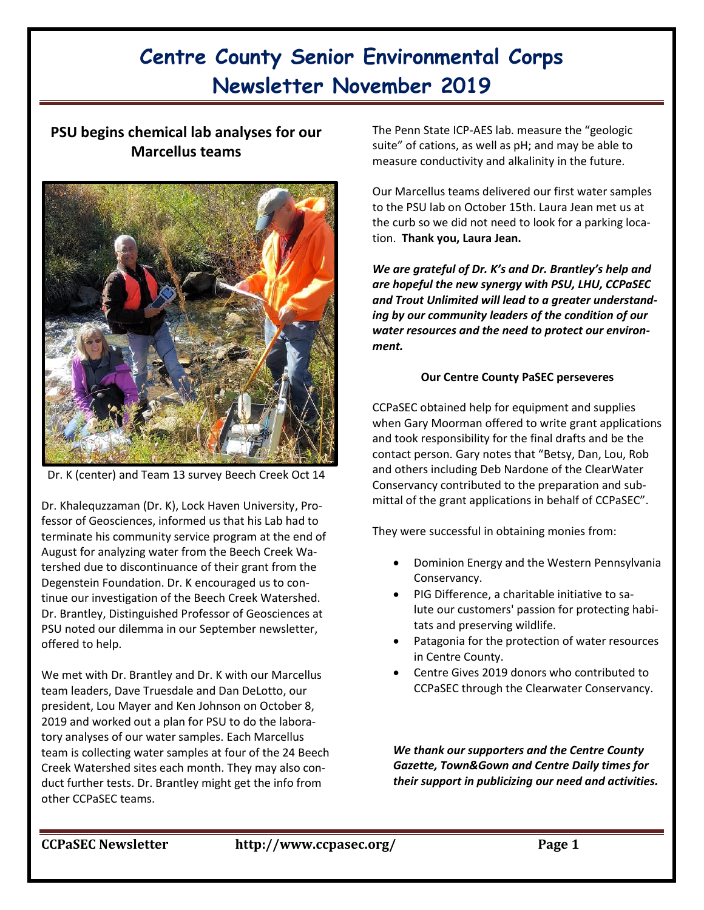# **PSU begins chemical lab analyses for our Marcellus teams**



Dr. K (center) and Team 13 survey Beech Creek Oct 14

Dr. Khalequzzaman (Dr. K), Lock Haven University, Professor of Geosciences, informed us that his Lab had to terminate his community service program at the end of August for analyzing water from the Beech Creek Watershed due to discontinuance of their grant from the Degenstein Foundation. Dr. K encouraged us to continue our investigation of the Beech Creek Watershed. Dr. Brantley, Distinguished Professor of Geosciences at PSU noted our dilemma in our September newsletter, offered to help.

We met with Dr. Brantley and Dr. K with our Marcellus team leaders, Dave Truesdale and Dan DeLotto, our president, Lou Mayer and Ken Johnson on October 8, 2019 and worked out a plan for PSU to do the laboratory analyses of our water samples. Each Marcellus team is collecting water samples at four of the 24 Beech Creek Watershed sites each month. They may also conduct further tests. Dr. Brantley might get the info from other CCPaSEC teams.

The Penn State ICP-AES lab. measure the "geologic suite" of cations, as well as pH; and may be able to measure conductivity and alkalinity in the future.

Our Marcellus teams delivered our first water samples to the PSU lab on October 15th. Laura Jean met us at the curb so we did not need to look for a parking location. **Thank you, Laura Jean.**

*We are grateful of Dr. K's and Dr. Brantley's help and are hopeful the new synergy with PSU, LHU, CCPaSEC and Trout Unlimited will lead to a greater understanding by our community leaders of the condition of our water resources and the need to protect our environment.* 

#### **Our Centre County PaSEC perseveres**

CCPaSEC obtained help for equipment and supplies when Gary Moorman offered to write grant applications and took responsibility for the final drafts and be the contact person. Gary notes that "Betsy, Dan, Lou, Rob and others including Deb Nardone of the ClearWater Conservancy contributed to the preparation and submittal of the grant applications in behalf of CCPaSEC".

They were successful in obtaining monies from:

- Dominion Energy and the Western Pennsylvania Conservancy.
- PIG Difference, a charitable initiative to salute our customers' passion for protecting habitats and preserving wildlife.
- Patagonia for the protection of water resources in Centre County.
- Centre Gives 2019 donors who contributed to CCPaSEC through the Clearwater Conservancy.

*We thank our supporters and the Centre County Gazette, Town&Gown and Centre Daily times for their support in publicizing our need and activities.*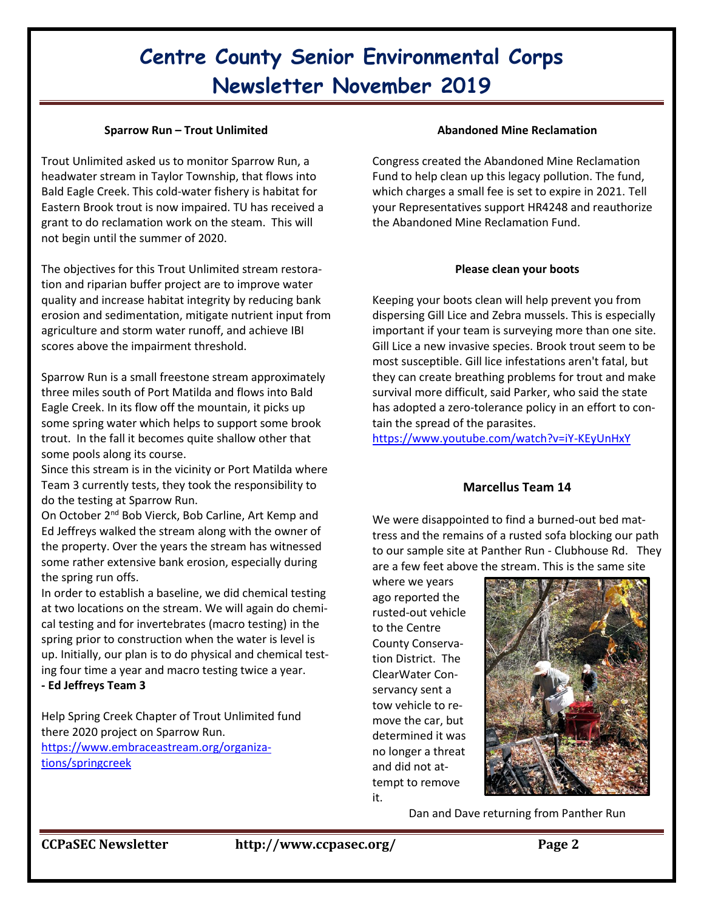#### **Sparrow Run – Trout Unlimited**

Trout Unlimited asked us to monitor Sparrow Run, a headwater stream in Taylor Township, that flows into Bald Eagle Creek. This cold-water fishery is habitat for Eastern Brook trout is now impaired. TU has received a grant to do reclamation work on the steam. This will not begin until the summer of 2020.

The objectives for this Trout Unlimited stream restoration and riparian buffer project are to improve water quality and increase habitat integrity by reducing bank erosion and sedimentation, mitigate nutrient input from agriculture and storm water runoff, and achieve IBI scores above the impairment threshold.

Sparrow Run is a small freestone stream approximately three miles south of Port Matilda and flows into Bald Eagle Creek. In its flow off the mountain, it picks up some spring water which helps to support some brook trout. In the fall it becomes quite shallow other that some pools along its course.

Since this stream is in the vicinity or Port Matilda where Team 3 currently tests, they took the responsibility to do the testing at Sparrow Run.

On October 2nd Bob Vierck, Bob Carline, Art Kemp and Ed Jeffreys walked the stream along with the owner of the property. Over the years the stream has witnessed some rather extensive bank erosion, especially during the spring run offs.

In order to establish a baseline, we did chemical testing at two locations on the stream. We will again do chemical testing and for invertebrates (macro testing) in the spring prior to construction when the water is level is up. Initially, our plan is to do physical and chemical testing four time a year and macro testing twice a year.

**- Ed Jeffreys Team 3**

Help Spring Creek Chapter of Trout Unlimited fund there 2020 project on Sparrow Run. [https://www.embraceastream.org/organiza](https://www.embraceastream.org/organizations/springcreek)[tions/springcreek](https://www.embraceastream.org/organizations/springcreek)

#### **Abandoned Mine Reclamation**

Congress created the Abandoned Mine Reclamation Fund to help clean up this legacy pollution. The fund, which charges a small fee is set to expire in 2021. Tell your Representatives support HR4248 and reauthorize the Abandoned Mine Reclamation Fund.

#### **Please clean your boots**

Keeping your boots clean will help prevent you from dispersing Gill Lice and Zebra mussels. This is especially important if your team is surveying more than one site. Gill Lice a new invasive species. Brook trout seem to be most susceptible. Gill lice infestations aren't fatal, but they can create breathing problems for trout and make survival more difficult, said Parker, who said the state has adopted a zero-tolerance policy in an effort to contain the spread of the parasites.

<https://www.youtube.com/watch?v=iY-KEyUnHxY>

## **Marcellus Team 14**

We were disappointed to find a burned-out bed mattress and the remains of a rusted sofa blocking our path to our sample site at Panther Run - Clubhouse Rd. They are a few feet above the stream. This is the same site

where we years ago reported the rusted-out vehicle to the Centre County Conservation District. The ClearWater Conservancy sent a tow vehicle to remove the car, but determined it was no longer a threat and did not attempt to remove it.



Dan and Dave returning from Panther Run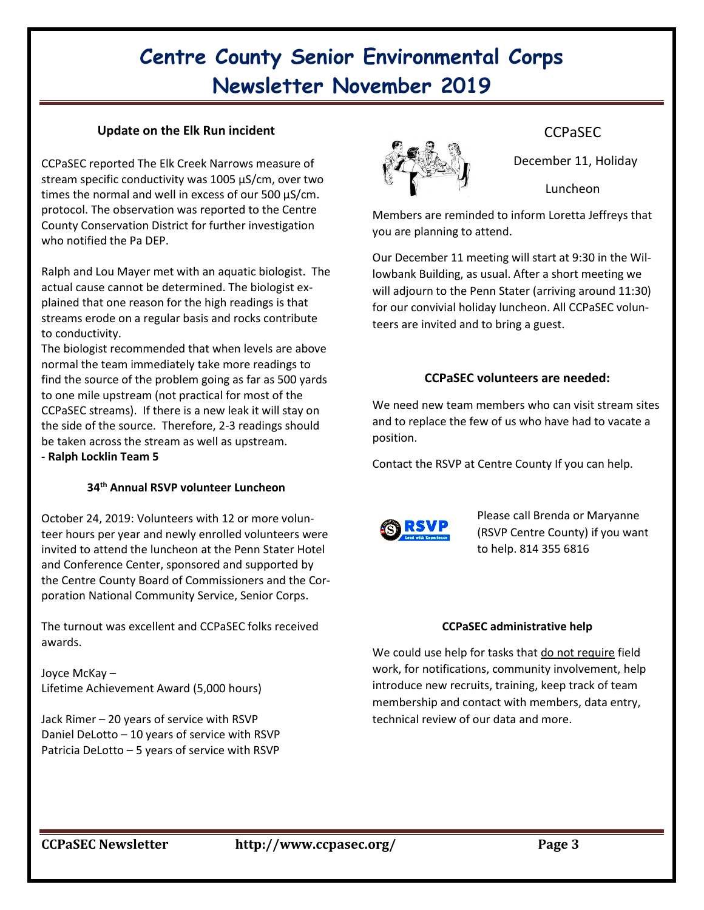### **Update on the Elk Run incident**

CCPaSEC reported The Elk Creek Narrows measure of stream specific conductivity was 1005 µS/cm, over two times the normal and well in excess of our 500 µS/cm. protocol. The observation was reported to the Centre County Conservation District for further investigation who notified the Pa DEP.

Ralph and Lou Mayer met with an aquatic biologist. The actual cause cannot be determined. The biologist explained that one reason for the high readings is that streams erode on a regular basis and rocks contribute to conductivity.

The biologist recommended that when levels are above normal the team immediately take more readings to find the source of the problem going as far as 500 yards to one mile upstream (not practical for most of the CCPaSEC streams). If there is a new leak it will stay on the side of the source. Therefore, 2-3 readings should be taken across the stream as well as upstream. **- Ralph Locklin Team 5**

### **34th Annual RSVP volunteer Luncheon**

October 24, 2019: Volunteers with 12 or more volunteer hours per year and newly enrolled volunteers were invited to attend the luncheon at the Penn Stater Hotel and Conference Center, sponsored and supported by the Centre County Board of Commissioners and the Corporation National Community Service, Senior Corps.

The turnout was excellent and CCPaSEC folks received awards.

Joyce McKay – Lifetime Achievement Award (5,000 hours)

Jack Rimer – 20 years of service with RSVP Daniel DeLotto – 10 years of service with RSVP Patricia DeLotto – 5 years of service with RSVP



## CCPaSEC

December 11, Holiday

Luncheon

Members are reminded to inform Loretta Jeffreys that you are planning to attend.

Our December 11 meeting will start at 9:30 in the Willowbank Building, as usual. After a short meeting we will adjourn to the Penn Stater (arriving around 11:30) for our convivial holiday luncheon. All CCPaSEC volunteers are invited and to bring a guest.

## **CCPaSEC volunteers are needed:**

We need new team members who can visit stream sites and to replace the few of us who have had to vacate a position.

Contact the RSVP at Centre County If you can help.



Please call Brenda or Maryanne (RSVP Centre County) if you want to help. 814 355 6816

#### **CCPaSEC administrative help**

We could use help for tasks that do not require field work, for notifications, community involvement, help introduce new recruits, training, keep track of team membership and contact with members, data entry, technical review of our data and more.